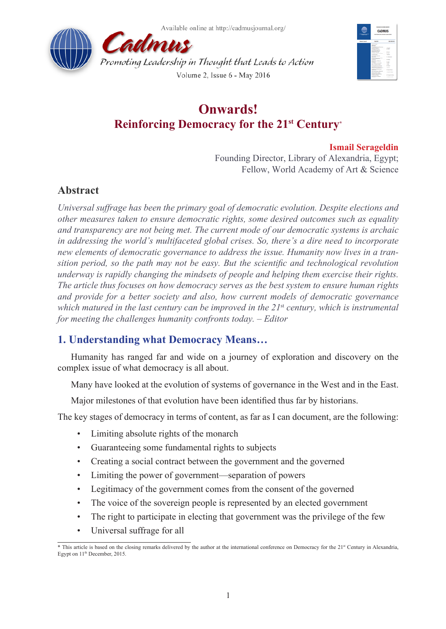



# **Onwards! Reinforcing Democracy for the 21st Century\***

# **Ismail Serageldin**

Founding Director, Library of Alexandria, Egypt; Fellow, World Academy of Art & Science

# **Abstract**

*Universal suffrage has been the primary goal of democratic evolution. Despite elections and other measures taken to ensure democratic rights, some desired outcomes such as equality and transparency are not being met. The current mode of our democratic systems is archaic in addressing the world's multifaceted global crises. So, there's a dire need to incorporate new elements of democratic governance to address the issue. Humanity now lives in a transition period, so the path may not be easy. But the scientific and technological revolution underway is rapidly changing the mindsets of people and helping them exercise their rights. The article thus focuses on how democracy serves as the best system to ensure human rights and provide for a better society and also, how current models of democratic governance which matured in the last century can be improved in the 21*st *century, which is instrumental for meeting the challenges humanity confronts today. – Editor* 

# **1. Understanding what Democracy Means…**

Humanity has ranged far and wide on a journey of exploration and discovery on the complex issue of what democracy is all about.

Many have looked at the evolution of systems of governance in the West and in the East.

Major milestones of that evolution have been identified thus far by historians.

The key stages of democracy in terms of content, as far as I can document, are the following:

- Limiting absolute rights of the monarch
- Guaranteeing some fundamental rights to subjects
- Creating a social contract between the government and the governed
- Limiting the power of government—separation of powers
- Legitimacy of the government comes from the consent of the governed
- The voice of the sovereign people is represented by an elected government
- The right to participate in electing that government was the privilege of the few
- Universal suffrage for all

 $*$  This article is based on the closing remarks delivered by the author at the international conference on Democracy for the  $21<sup>{8}</sup>$  Century in Alexandria, Egypt on 11<sup>th</sup> December, 2015.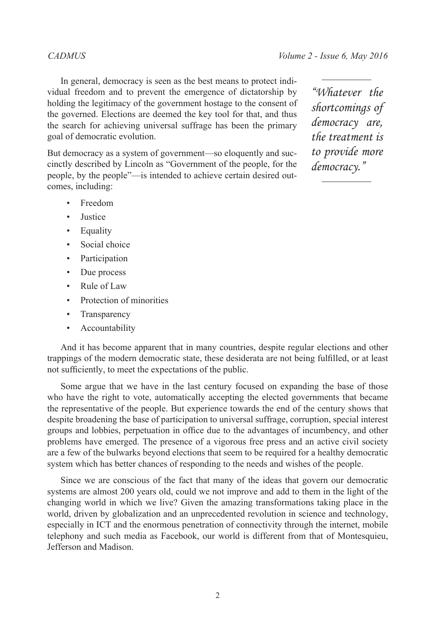In general, democracy is seen as the best means to protect individual freedom and to prevent the emergence of dictatorship by holding the legitimacy of the government hostage to the consent of the governed. Elections are deemed the key tool for that, and thus the search for achieving universal suffrage has been the primary goal of democratic evolution.

But democracy as a system of government—so eloquently and succinctly described by Lincoln as "Government of the people, for the people, by the people"—is intended to achieve certain desired outcomes, including:

- Freedom
- Justice
- Equality
- Social choice
- Participation
- Due process
- Rule of Law
- Protection of minorities
- Transparency
- Accountability

And it has become apparent that in many countries, despite regular elections and other trappings of the modern democratic state, these desiderata are not being fulfilled, or at least not sufficiently, to meet the expectations of the public.

Some argue that we have in the last century focused on expanding the base of those who have the right to vote, automatically accepting the elected governments that became the representative of the people. But experience towards the end of the century shows that despite broadening the base of participation to universal suffrage, corruption, special interest groups and lobbies, perpetuation in office due to the advantages of incumbency, and other problems have emerged. The presence of a vigorous free press and an active civil society are a few of the bulwarks beyond elections that seem to be required for a healthy democratic system which has better chances of responding to the needs and wishes of the people.

Since we are conscious of the fact that many of the ideas that govern our democratic systems are almost 200 years old, could we not improve and add to them in the light of the changing world in which we live? Given the amazing transformations taking place in the world, driven by globalization and an unprecedented revolution in science and technology, especially in ICT and the enormous penetration of connectivity through the internet, mobile telephony and such media as Facebook, our world is different from that of Montesquieu, Jefferson and Madison.

*"Whatever the shortcomings of democracy are, the treatment is to provide more democracy."*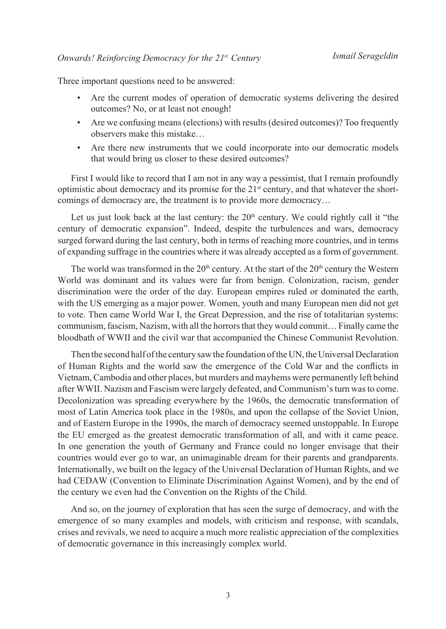Three important questions need to be answered:

- Are the current modes of operation of democratic systems delivering the desired outcomes? No, or at least not enough!
- Are we confusing means (elections) with results (desired outcomes)? Too frequently observers make this mistake…
- Are there new instruments that we could incorporate into our democratic models that would bring us closer to these desired outcomes?

First I would like to record that I am not in any way a pessimist, that I remain profoundly optimistic about democracy and its promise for the  $21<sup>st</sup>$  century, and that whatever the shortcomings of democracy are, the treatment is to provide more democracy…

Let us just look back at the last century: the  $20<sup>th</sup>$  century. We could rightly call it "the century of democratic expansion". Indeed, despite the turbulences and wars, democracy surged forward during the last century, both in terms of reaching more countries, and in terms of expanding suffrage in the countries where it was already accepted as a form of government.

The world was transformed in the  $20<sup>th</sup>$  century. At the start of the  $20<sup>th</sup>$  century the Western World was dominant and its values were far from benign. Colonization, racism, gender discrimination were the order of the day. European empires ruled or dominated the earth, with the US emerging as a major power. Women, youth and many European men did not get to vote. Then came World War I, the Great Depression, and the rise of totalitarian systems: communism, fascism, Nazism, with all the horrors that they would commit… Finally came the bloodbath of WWII and the civil war that accompanied the Chinese Communist Revolution.

Then the second half of the century saw the foundation of the UN, the Universal Declaration of Human Rights and the world saw the emergence of the Cold War and the conflicts in Vietnam, Cambodia and other places, but murders and mayhems were permanently left behind after WWII. Nazism and Fascism were largely defeated, and Communism's turn was to come. Decolonization was spreading everywhere by the 1960s, the democratic transformation of most of Latin America took place in the 1980s, and upon the collapse of the Soviet Union, and of Eastern Europe in the 1990s, the march of democracy seemed unstoppable. In Europe the EU emerged as the greatest democratic transformation of all, and with it came peace. In one generation the youth of Germany and France could no longer envisage that their countries would ever go to war, an unimaginable dream for their parents and grandparents. Internationally, we built on the legacy of the Universal Declaration of Human Rights, and we had CEDAW (Convention to Eliminate Discrimination Against Women), and by the end of the century we even had the Convention on the Rights of the Child.

And so, on the journey of exploration that has seen the surge of democracy, and with the emergence of so many examples and models, with criticism and response, with scandals, crises and revivals, we need to acquire a much more realistic appreciation of the complexities of democratic governance in this increasingly complex world.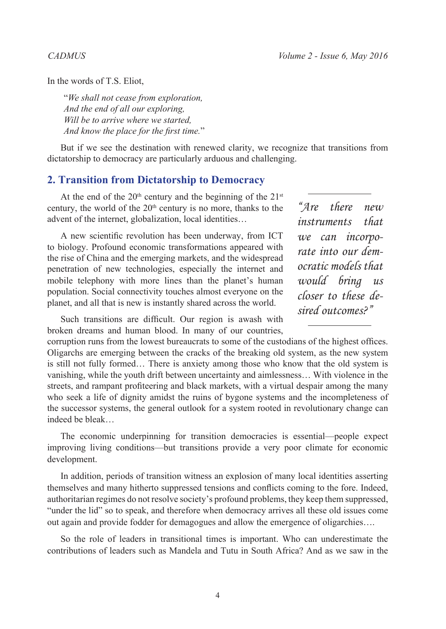In the words of T.S. Eliot,

"*We shall not cease from exploration, And the end of all our exploring, Will be to arrive where we started, And know the place for the first time.*"

But if we see the destination with renewed clarity, we recognize that transitions from dictatorship to democracy are particularly arduous and challenging.

### **2. Transition from Dictatorship to Democracy**

At the end of the  $20<sup>th</sup>$  century and the beginning of the  $21<sup>st</sup>$ century, the world of the  $20<sup>th</sup>$  century is no more, thanks to the advent of the internet, globalization, local identities…

A new scientific revolution has been underway, from ICT to biology. Profound economic transformations appeared with the rise of China and the emerging markets, and the widespread penetration of new technologies, especially the internet and mobile telephony with more lines than the planet's human population. Social connectivity touches almost everyone on the planet, and all that is new is instantly shared across the world.

*"Are there new instruments that we can incorporate into our democratic models that would bring us closer to these desired outcomes?"*

Such transitions are difficult. Our region is awash with broken dreams and human blood. In many of our countries,

corruption runs from the lowest bureaucrats to some of the custodians of the highest offices. Oligarchs are emerging between the cracks of the breaking old system, as the new system is still not fully formed… There is anxiety among those who know that the old system is vanishing, while the youth drift between uncertainty and aimlessness… With violence in the streets, and rampant profiteering and black markets, with a virtual despair among the many who seek a life of dignity amidst the ruins of bygone systems and the incompleteness of the successor systems, the general outlook for a system rooted in revolutionary change can indeed be bleak…

The economic underpinning for transition democracies is essential—people expect improving living conditions—but transitions provide a very poor climate for economic development.

In addition, periods of transition witness an explosion of many local identities asserting themselves and many hitherto suppressed tensions and conflicts coming to the fore. Indeed, authoritarian regimes do not resolve society's profound problems, they keep them suppressed, "under the lid" so to speak, and therefore when democracy arrives all these old issues come out again and provide fodder for demagogues and allow the emergence of oligarchies….

So the role of leaders in transitional times is important. Who can underestimate the contributions of leaders such as Mandela and Tutu in South Africa? And as we saw in the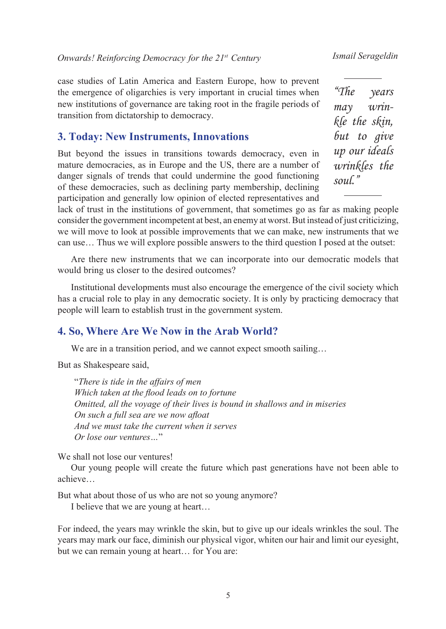case studies of Latin America and Eastern Europe, how to prevent the emergence of oligarchies is very important in crucial times when new institutions of governance are taking root in the fragile periods of transition from dictatorship to democracy.

# **3. Today: New Instruments, Innovations**

But beyond the issues in transitions towards democracy, even in mature democracies, as in Europe and the US, there are a number of danger signals of trends that could undermine the good functioning of these democracies, such as declining party membership, declining participation and generally low opinion of elected representatives and

*"The years may wrinkle the skin, but to give up our ideals wrinkles the soul."*

lack of trust in the institutions of government, that sometimes go as far as making people consider the government incompetent at best, an enemy at worst. But instead of just criticizing, we will move to look at possible improvements that we can make, new instruments that we can use… Thus we will explore possible answers to the third question I posed at the outset:

Are there new instruments that we can incorporate into our democratic models that would bring us closer to the desired outcomes?

Institutional developments must also encourage the emergence of the civil society which has a crucial role to play in any democratic society. It is only by practicing democracy that people will learn to establish trust in the government system.

### **4. So, Where Are We Now in the Arab World?**

We are in a transition period, and we cannot expect smooth sailing...

But as Shakespeare said,

"*There is tide in the affairs of men Which taken at the flood leads on to fortune Omitted, all the voyage of their lives is bound in shallows and in miseries On such a full sea are we now afloat And we must take the current when it serves Or lose our ventures…*"

We shall not lose our ventures!

Our young people will create the future which past generations have not been able to achieve…

But what about those of us who are not so young anymore?

I believe that we are young at heart…

For indeed, the years may wrinkle the skin, but to give up our ideals wrinkles the soul. The years may mark our face, diminish our physical vigor, whiten our hair and limit our eyesight, but we can remain young at heart… for You are: